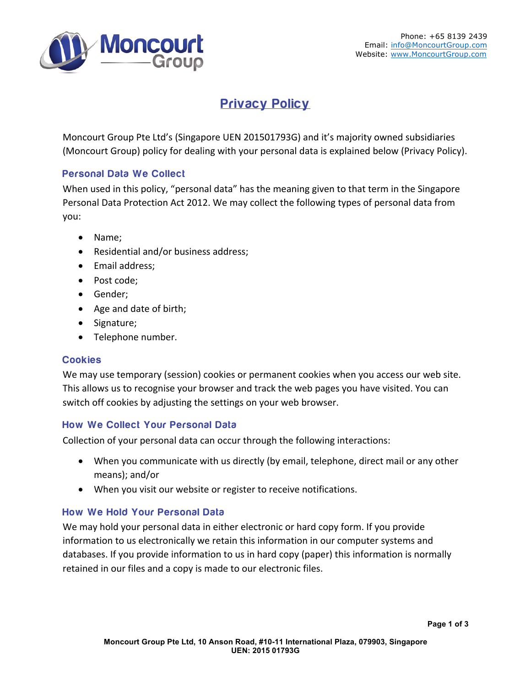

# Privacy Policy

Moncourt Group Pte Ltd's (Singapore UEN 201501793G) and it's majority owned subsidiaries (Moncourt Group) policy for dealing with your personal data is explained below (Privacy Policy).

## Personal Data We Collect

When used in this policy, "personal data" has the meaning given to that term in the Singapore Personal Data Protection Act 2012. We may collect the following types of personal data from you:

- Name;
- Residential and/or business address;
- Email address;
- Post code;
- Gender;
- Age and date of birth;
- Signature;
- Telephone number.

#### Cookies

We may use temporary (session) cookies or permanent cookies when you access our web site. This allows us to recognise your browser and track the web pages you have visited. You can switch off cookies by adjusting the settings on your web browser.

# How We Collect Your Personal Data

Collection of your personal data can occur through the following interactions:

- When you communicate with us directly (by email, telephone, direct mail or any other means); and/or
- When you visit our website or register to receive notifications.

# How We Hold Your Personal Data

We may hold your personal data in either electronic or hard copy form. If you provide information to us electronically we retain this information in our computer systems and databases. If you provide information to us in hard copy (paper) this information is normally retained in our files and a copy is made to our electronic files.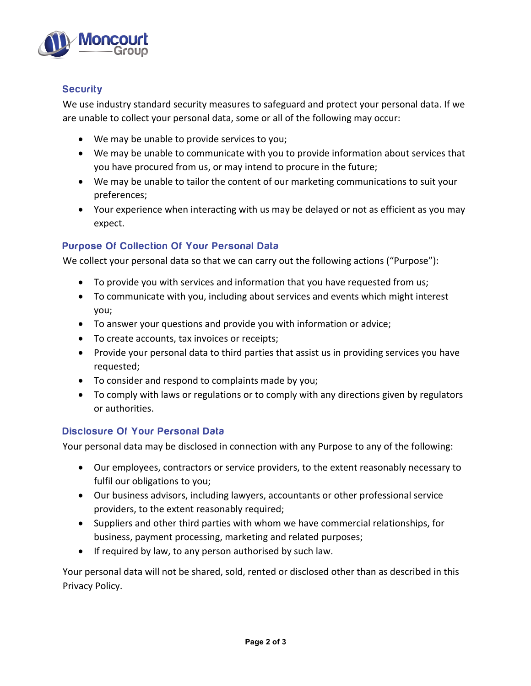

## **Security**

We use industry standard security measures to safeguard and protect your personal data. If we are unable to collect your personal data, some or all of the following may occur:

- We may be unable to provide services to you;
- We may be unable to communicate with you to provide information about services that you have procured from us, or may intend to procure in the future;
- We may be unable to tailor the content of our marketing communications to suit your preferences;
- Your experience when interacting with us may be delayed or not as efficient as you may expect.

#### Purpose Of Collection Of Your Personal Data

We collect your personal data so that we can carry out the following actions ("Purpose"):

- To provide you with services and information that you have requested from us;
- To communicate with you, including about services and events which might interest you;
- To answer your questions and provide you with information or advice;
- To create accounts, tax invoices or receipts;
- Provide your personal data to third parties that assist us in providing services you have requested;
- To consider and respond to complaints made by you;
- To comply with laws or regulations or to comply with any directions given by regulators or authorities.

#### Disclosure Of Your Personal Data

Your personal data may be disclosed in connection with any Purpose to any of the following:

- Our employees, contractors or service providers, to the extent reasonably necessary to fulfil our obligations to you;
- Our business advisors, including lawyers, accountants or other professional service providers, to the extent reasonably required;
- Suppliers and other third parties with whom we have commercial relationships, for business, payment processing, marketing and related purposes;
- If required by law, to any person authorised by such law.

Your personal data will not be shared, sold, rented or disclosed other than as described in this Privacy Policy.